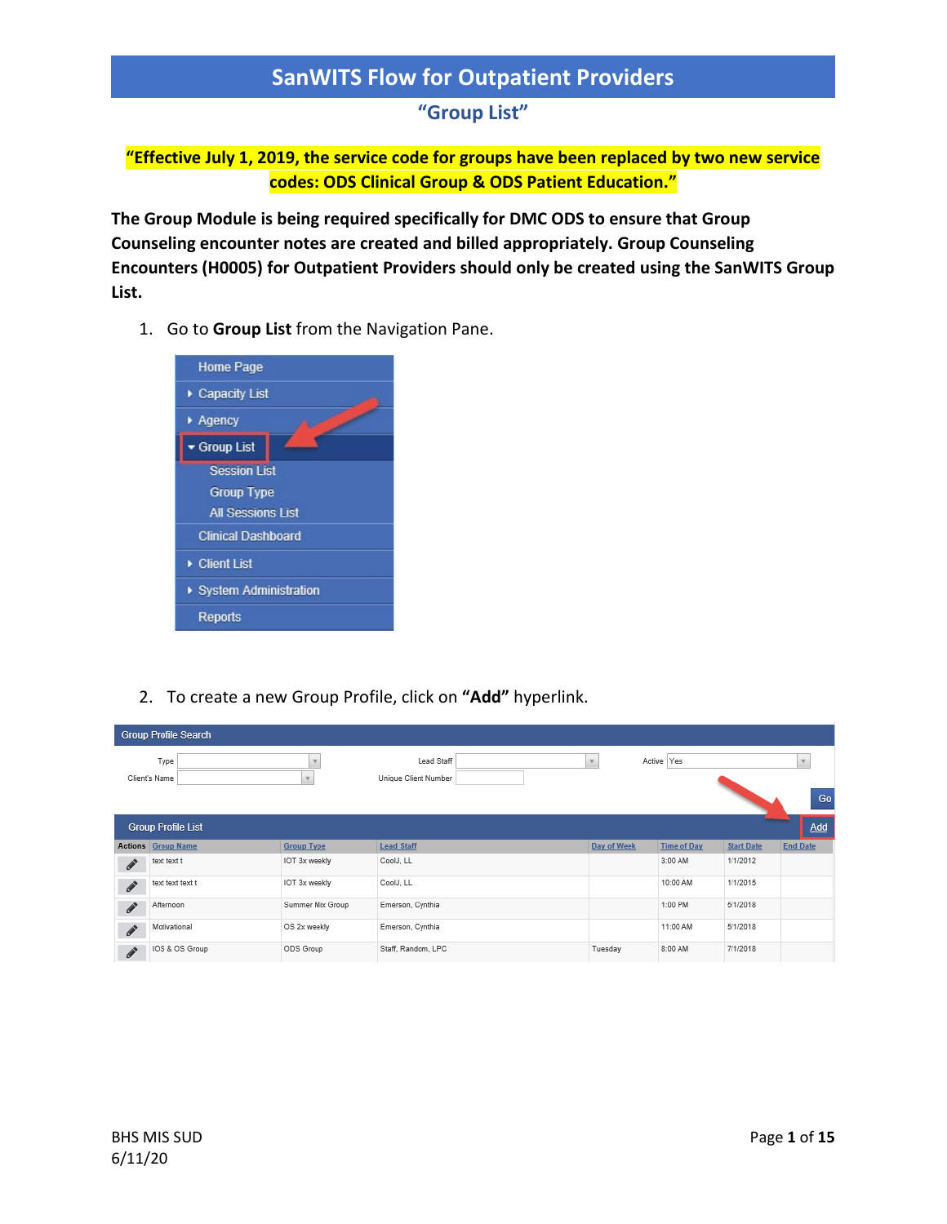### **"Group List"**

**"Effective July 1, 2019, the service code for groups have been replaced by two new service codes: ODS Clinical Group & ODS Patient Education."**

**The Group Module is being required specifically for DMC ODS to ensure that Group Counseling encounter notes are created and billed appropriately. Group Counseling Encounters (H0005) for Outpatient Providers should only be created using the SanWITS Group List.**

1. Go to **Group List** from the Navigation Pane.



2. To create a new Group Profile, click on **"Add"** hyperlink.

|                                  | <b>Group Profile Search</b> |                   |                                    |             |                    |                   |                 |
|----------------------------------|-----------------------------|-------------------|------------------------------------|-------------|--------------------|-------------------|-----------------|
|                                  | Type<br>Client's Name       |                   | Lead Staff<br>Unique Client Number |             | Active Yes         |                   |                 |
|                                  |                             |                   |                                    |             |                    |                   | Go              |
|                                  | <b>Group Profile List</b>   |                   |                                    |             |                    |                   | Add             |
|                                  | <b>Actions Group Name</b>   | <b>Group Type</b> | <b>Lead Staff</b>                  | Day of Week | <b>Time of Day</b> | <b>Start Date</b> | <b>End Date</b> |
| $\mathscr{I}$                    | text text t                 | IOT 3x weekly     | CoolJ, LL                          |             | 3:00 AM            | 1/1/2012          |                 |
| $\boldsymbol{\delta}$            | text text text t            | IOT 3x weekly     | CoolJ, LL                          |             | 10:00 AM           | 1/1/2015          |                 |
| $\label{eq:1} \pmb{\mathscr{F}}$ | Afternoon                   | Summer Mix Group  | Emerson, Cynthia                   |             | 1:00 PM            | 5/1/2018          |                 |
| $\label{eq:1} \pmb{\mathscr{F}}$ | Motivational                | OS 2x weekly      | Emerson, Cynthia                   |             | 11:00 AM           | 5/1/2018          |                 |
| $\mathscr{F}$                    | IOS & OS Group              | ODS Group         | Staff, Random, LPC                 | Tuesday     | 8:00 AM            | 7/1/2018          |                 |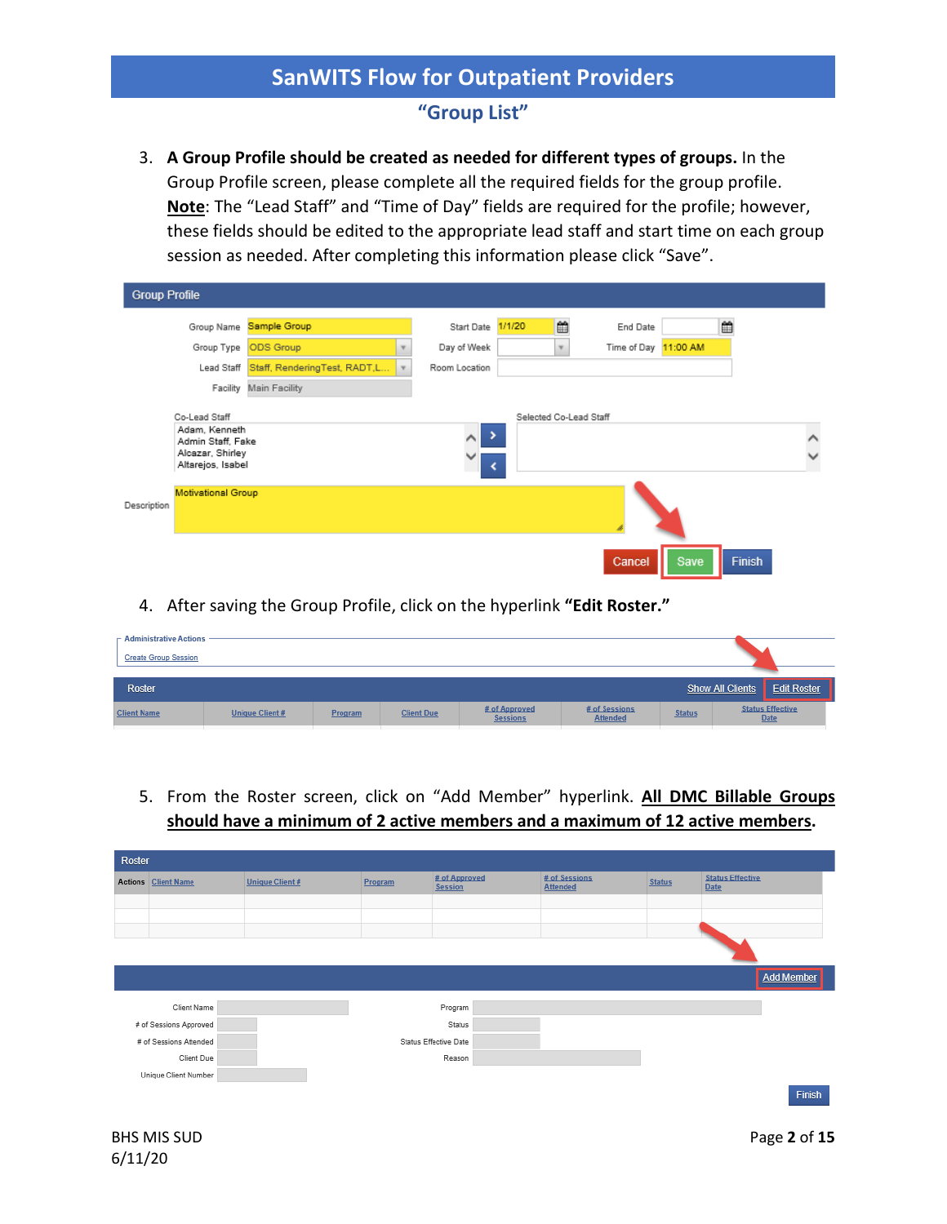### **"Group List"**

3. **A Group Profile should be created as needed for different types of groups.** In the Group Profile screen, please complete all the required fields for the group profile. **Note**: The "Lead Staff" and "Time of Day" fields are required for the profile; however, these fields should be edited to the appropriate lead staff and start time on each group session as needed. After completing this information please click "Save".

| <b>Group Profile</b>                                                                         |                              |                               |                           |                      |      |                          |
|----------------------------------------------------------------------------------------------|------------------------------|-------------------------------|---------------------------|----------------------|------|--------------------------|
| Group Name                                                                                   | Sample Group                 | Start Date                    | ₩<br>1/1/20               | End Date             | ₩    |                          |
| Group Type                                                                                   | ODS Group                    | Day of Week                   | $\boldsymbol{\mathrm{v}}$ | Time of Day 11:00 AM |      |                          |
| Lead Staff                                                                                   | Staff, RenderingTest, RADT,L | Room Location                 |                           |                      |      |                          |
| Facility                                                                                     | Main Facility                |                               |                           |                      |      |                          |
| Co-Lead Staff<br>Adam, Kenneth<br>Admin Staff, Fake<br>Alcazar, Shirley<br>Altarejos, Isabel |                              | ٠<br>$\wedge$<br>$\checkmark$ | Selected Co-Lead Staff    |                      |      | $\wedge$<br>$\checkmark$ |
| Motivational Group<br>Description                                                            |                              |                               |                           |                      |      |                          |
|                                                                                              |                              |                               |                           | Cancel               | Save | Finish                   |

4. After saving the Group Profile, click on the hyperlink **"Edit Roster."**

| $-$ Administrative Actions $-$ |                 |         |                   |                                  |                                  |               |                                        |  |
|--------------------------------|-----------------|---------|-------------------|----------------------------------|----------------------------------|---------------|----------------------------------------|--|
| <b>Create Group Session</b>    |                 |         |                   |                                  |                                  |               |                                        |  |
|                                |                 |         |                   |                                  |                                  |               |                                        |  |
| Roster                         |                 |         |                   |                                  |                                  |               | Show All Clients<br><b>Edit Roster</b> |  |
| <b>Client Name</b>             | Unique Client # | Program | <b>Client Due</b> | # of Approved<br><b>Sessions</b> | # of Sessions<br><b>Attended</b> | <b>Status</b> | <b>Status Effective</b><br><b>Date</b> |  |
|                                |                 |         |                   |                                  |                                  |               |                                        |  |

5. From the Roster screen, click on "Add Member" hyperlink. **All DMC Billable Groups should have a minimum of 2 active members and a maximum of 12 active members.** 

| Roster |                            |                       |         |                                 |                                  |               |                                        |
|--------|----------------------------|-----------------------|---------|---------------------------------|----------------------------------|---------------|----------------------------------------|
|        | <b>Actions Client Name</b> | <b>Unique Client#</b> | Program | # of Approved<br><b>Session</b> | # of Sessions<br><b>Attended</b> | <b>Status</b> | <b>Status Effective</b><br><b>Date</b> |
|        |                            |                       |         |                                 |                                  |               |                                        |
|        |                            |                       |         |                                 |                                  |               |                                        |
|        |                            |                       |         |                                 |                                  |               |                                        |
|        |                            |                       |         |                                 |                                  |               |                                        |
|        |                            |                       |         |                                 |                                  |               | <b>Add Member</b>                      |
|        | Client Name                |                       |         | Program                         |                                  |               |                                        |
|        | # of Sessions Approved     |                       |         | Status                          |                                  |               |                                        |
|        | # of Sessions Attended     |                       |         | Status Effective Date           |                                  |               |                                        |
|        | Client Due                 |                       |         | Reason                          |                                  |               |                                        |
|        | Unique Client Number       |                       |         |                                 |                                  |               |                                        |
|        |                            |                       |         |                                 |                                  |               | Finish                                 |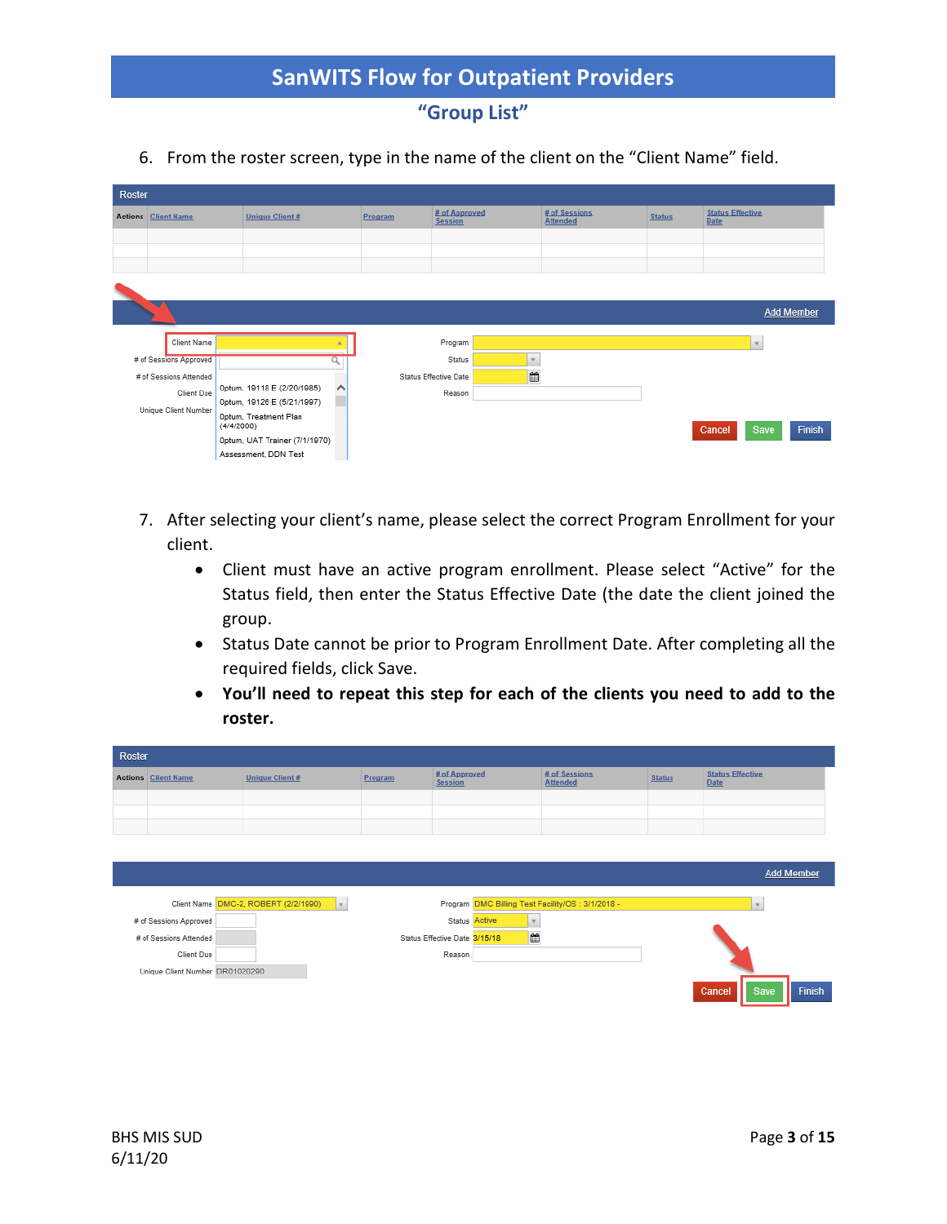**"Group List"**

6. From the roster screen, type in the name of the client on the "Client Name" field.

| Roster                        |                                     |          |         |                                 |                          |                                  |               |                                        |  |  |  |
|-------------------------------|-------------------------------------|----------|---------|---------------------------------|--------------------------|----------------------------------|---------------|----------------------------------------|--|--|--|
| <b>Client Name</b><br>Actions | <b>Unique Client#</b>               |          | Program | # of Approved<br><b>Session</b> |                          | # of Sessions<br><b>Attended</b> | <b>Status</b> | <b>Status Effective</b><br><b>Date</b> |  |  |  |
|                               |                                     |          |         |                                 |                          |                                  |               |                                        |  |  |  |
|                               |                                     |          |         |                                 |                          |                                  |               |                                        |  |  |  |
|                               |                                     |          |         |                                 |                          |                                  |               |                                        |  |  |  |
|                               |                                     |          |         |                                 |                          |                                  |               |                                        |  |  |  |
|                               |                                     |          |         |                                 |                          |                                  |               | <b>Add Member</b>                      |  |  |  |
|                               |                                     |          |         |                                 |                          |                                  |               |                                        |  |  |  |
| Client Name                   |                                     |          |         | Program                         |                          |                                  |               | $\mathbf{v}$                           |  |  |  |
| # of Sessions Approved        |                                     |          |         | Status                          | $\overline{\phantom{a}}$ |                                  |               |                                        |  |  |  |
| # of Sessions Attended        |                                     |          |         | <b>Status Effective Date</b>    | ₩                        |                                  |               |                                        |  |  |  |
| Client Due                    | 0ptum, 19118 E (2/20/1985)          | $\wedge$ |         | Reason                          |                          |                                  |               |                                        |  |  |  |
| Unique Client Number          | 0ptum, 19126 E (5/21/1997)          |          |         |                                 |                          |                                  |               |                                        |  |  |  |
|                               | Optum, Treatment Plan<br>(4/4/2000) |          |         |                                 |                          |                                  |               | Finish<br>Save<br>Cancel               |  |  |  |
|                               | 0ptum, UAT Trainer (7/1/1970)       |          |         |                                 |                          |                                  |               |                                        |  |  |  |
|                               | Assessment, DDN Test                |          |         |                                 |                          |                                  |               |                                        |  |  |  |

- 7. After selecting your client's name, please select the correct Program Enrollment for your client.
	- Client must have an active program enrollment. Please select "Active" for the Status field, then enter the Status Effective Date (the date the client joined the group.
	- Status Date cannot be prior to Program Enrollment Date. After completing all the required fields, click Save.
	- **You'll need to repeat this step for each of the clients you need to add to the roster.**

| Roster |                            |                       |                |                                 |                                  |               |                                        |  |  |  |  |  |
|--------|----------------------------|-----------------------|----------------|---------------------------------|----------------------------------|---------------|----------------------------------------|--|--|--|--|--|
|        | <b>Actions Client Name</b> | <b>Unique Client#</b> | <b>Program</b> | # of Approved<br><b>Session</b> | # of Sessions<br><b>Attended</b> | <b>Status</b> | <b>Status Effective</b><br><b>Date</b> |  |  |  |  |  |
|        |                            |                       |                |                                 |                                  |               |                                        |  |  |  |  |  |
|        |                            |                       |                |                                 |                                  |               |                                        |  |  |  |  |  |
|        |                            |                       |                |                                 |                                  |               |                                        |  |  |  |  |  |

|                                 |                                      |    |                               |                                                   | <b>Add Member</b>               |
|---------------------------------|--------------------------------------|----|-------------------------------|---------------------------------------------------|---------------------------------|
|                                 | Client Name DMC-2, ROBERT (2/2/1990) | I. |                               | Program DMC Billing Test Facility/OS : 3/1/2018 - |                                 |
| # of Sessions Approved          |                                      |    | Status Active                 |                                                   |                                 |
| # of Sessions Attended          |                                      |    | Status Effective Date 3/15/18 | m                                                 |                                 |
| Client Due                      |                                      |    | Reason                        |                                                   |                                 |
| Unique Client Number DR01020290 |                                      |    |                               |                                                   |                                 |
|                                 |                                      |    |                               |                                                   | <b>Finish</b><br>Cancel<br>Save |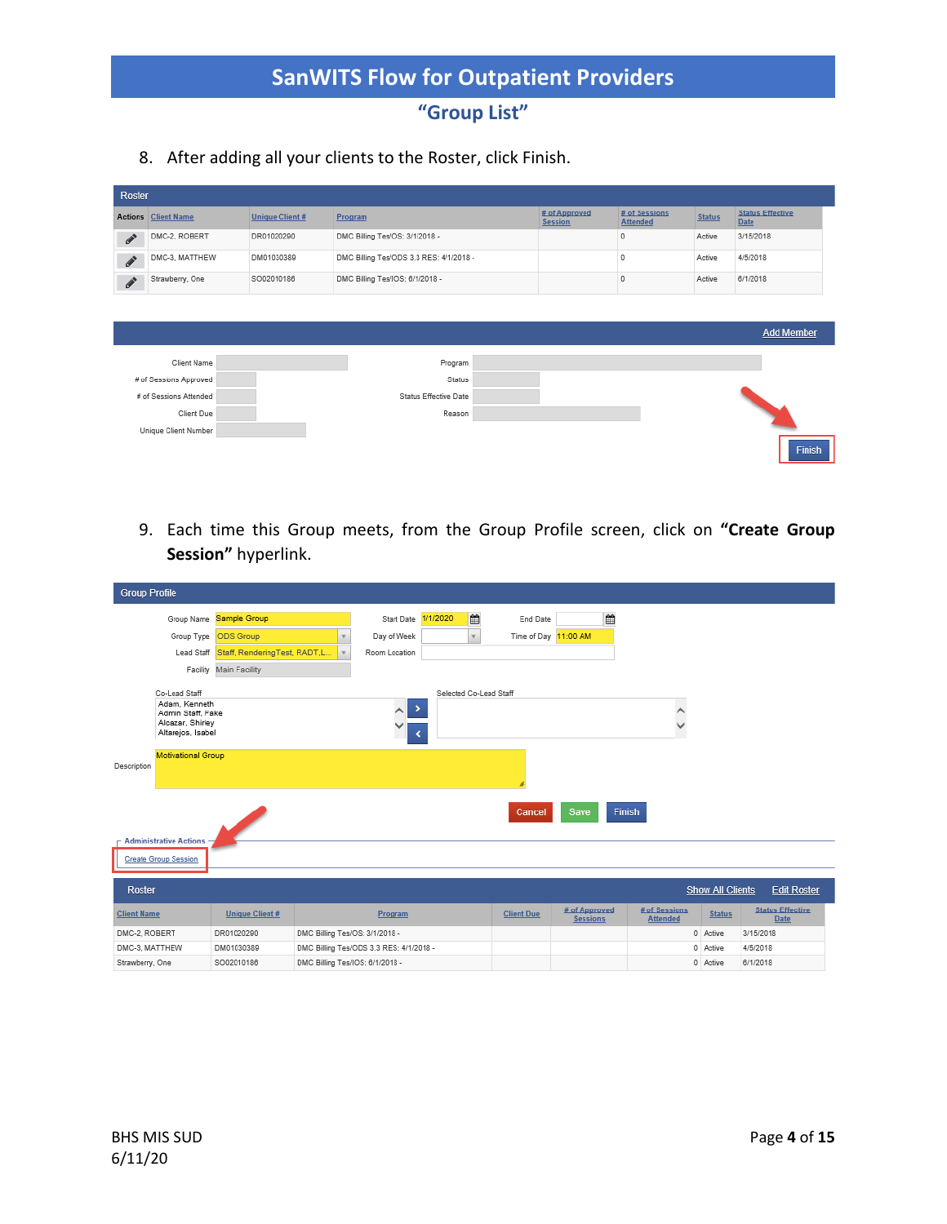# **"Group List"**

8. After adding all your clients to the Roster, click Finish.

| Roster                                                                                                                                                                                                                                                                                                                                                                                                                   |                            |                        |                                         |                                 |  |                                 |                                  |               |                                 |
|--------------------------------------------------------------------------------------------------------------------------------------------------------------------------------------------------------------------------------------------------------------------------------------------------------------------------------------------------------------------------------------------------------------------------|----------------------------|------------------------|-----------------------------------------|---------------------------------|--|---------------------------------|----------------------------------|---------------|---------------------------------|
|                                                                                                                                                                                                                                                                                                                                                                                                                          | <b>Actions Client Name</b> | <b>Unique Client #</b> |                                         | Program                         |  | # of Approved<br><b>Session</b> | # of Sessions<br><b>Attended</b> | <b>Status</b> | <b>Status Effective</b><br>Date |
| $\begin{picture}(20,20) \put(0,0){\dashbox{0.5}(20,0){ }} \thicklines \put(0,0){\dashbox{0.5}(20,0){ }} \thicklines \put(0,0){\dashbox{0.5}(20,0){ }} \thicklines \put(0,0){\dashbox{0.5}(20,0){ }} \thicklines \put(0,0){\dashbox{0.5}(20,0){ }} \thicklines \put(0,0){\dashbox{0.5}(20,0){ }} \thicklines \put(0,0){\dashbox{0.5}(20,0){ }} \thicklines \put(0,0){\dashbox{0.5}(20,0){ }} \thicklines \put(0,0){\dash$ | DMC-2, ROBERT              | DR01020290             |                                         | DMC Billing Tes/OS: 3/1/2018 -  |  |                                 | $\Omega$                         | Active        | 3/15/2018                       |
| $\label{eq:1} \pmb{\mathscr{F}}$                                                                                                                                                                                                                                                                                                                                                                                         | DMC-3, MATTHEW             | DM01030389             | DMC Billing Tes/ODS 3.3 RES: 4/1/2018 - |                                 |  |                                 | $\Omega$                         | Active        | 4/5/2018                        |
| $\boldsymbol{\mathcal{J}}$                                                                                                                                                                                                                                                                                                                                                                                               | Strawberry, One            | SO02010186             |                                         | DMC Billing Tes/IOS: 6/1/2018 - |  |                                 | $\theta$                         | Active        | 6/1/2018                        |
|                                                                                                                                                                                                                                                                                                                                                                                                                          |                            |                        |                                         |                                 |  |                                 |                                  |               |                                 |
|                                                                                                                                                                                                                                                                                                                                                                                                                          |                            |                        |                                         |                                 |  |                                 |                                  |               | <b>Add Member</b>               |
|                                                                                                                                                                                                                                                                                                                                                                                                                          |                            |                        |                                         |                                 |  |                                 |                                  |               |                                 |
|                                                                                                                                                                                                                                                                                                                                                                                                                          | Client Name                |                        |                                         | Program                         |  |                                 |                                  |               |                                 |
|                                                                                                                                                                                                                                                                                                                                                                                                                          | # of Sessions Approved     |                        |                                         | Status                          |  |                                 |                                  |               |                                 |
|                                                                                                                                                                                                                                                                                                                                                                                                                          | # of Sessions Attended     |                        |                                         | Status Effective Date           |  |                                 |                                  |               |                                 |
|                                                                                                                                                                                                                                                                                                                                                                                                                          | Client Due                 |                        |                                         | Reason                          |  |                                 |                                  |               |                                 |
|                                                                                                                                                                                                                                                                                                                                                                                                                          | Unique Client Number       |                        |                                         |                                 |  |                                 |                                  |               |                                 |
|                                                                                                                                                                                                                                                                                                                                                                                                                          |                            |                        |                                         |                                 |  |                                 |                                  |               | Finish                          |

9. Each time this Group meets, from the Group Profile screen, click on **"Create Group Session"** hyperlink.

| <b>Group Profile</b>                  |                              |                                 |                                         |          |                        |                   |                                  |        |                                  |                         |                                        |
|---------------------------------------|------------------------------|---------------------------------|-----------------------------------------|----------|------------------------|-------------------|----------------------------------|--------|----------------------------------|-------------------------|----------------------------------------|
| Group Name                            | Sample Group                 |                                 | Start Date                              | 1/1/2020 | ₩                      | End Date          |                                  | 曲      |                                  |                         |                                        |
| Group Type                            | ODS Group                    |                                 | Day of Week                             |          | $\mathbf{v}$           | Time of Day       | 11:00 AM                         |        |                                  |                         |                                        |
| Lead Staff                            | Staff, RenderingTest, RADT,L |                                 | Room Location                           |          |                        |                   |                                  |        |                                  |                         |                                        |
| Facility                              | Main Facility                |                                 |                                         |          |                        |                   |                                  |        |                                  |                         |                                        |
| Co-Lead Staff                         |                              |                                 |                                         |          | Selected Co-Lead Staff |                   |                                  |        |                                  |                         |                                        |
| Adam, Kenneth<br>Admin Staff, Fake    |                              |                                 | ⇒<br>$\wedge$                           |          |                        |                   |                                  |        | Λ                                |                         |                                        |
| Alcazar, Shirley<br>Altarejos, Isabel |                              |                                 | ◡                                       |          |                        |                   |                                  |        | ◡                                |                         |                                        |
|                                       |                              |                                 | ≺                                       |          |                        |                   |                                  |        |                                  |                         |                                        |
| Motivational Group<br>Description     |                              |                                 |                                         |          |                        |                   |                                  |        |                                  |                         |                                        |
|                                       |                              |                                 |                                         |          |                        |                   |                                  |        |                                  |                         |                                        |
|                                       |                              |                                 |                                         |          |                        |                   |                                  |        |                                  |                         |                                        |
|                                       |                              |                                 |                                         |          |                        | Cancel            | Save                             | Finish |                                  |                         |                                        |
|                                       |                              |                                 |                                         |          |                        |                   |                                  |        |                                  |                         |                                        |
| <b>Administrative Actions</b>         |                              |                                 |                                         |          |                        |                   |                                  |        |                                  |                         |                                        |
| <b>Create Group Session</b>           |                              |                                 |                                         |          |                        |                   |                                  |        |                                  |                         |                                        |
| Roster                                |                              |                                 |                                         |          |                        |                   |                                  |        |                                  | <b>Show All Clients</b> | <b>Edit Roster</b>                     |
|                                       |                              |                                 |                                         |          |                        |                   |                                  |        |                                  |                         |                                        |
| <b>Client Name</b>                    | <b>Unique Client#</b>        |                                 | Program                                 |          |                        | <b>Client Due</b> | # of Approved<br><b>Sessions</b> |        | # of Sessions<br><b>Attended</b> | <b>Status</b>           | <b>Status Effective</b><br><b>Date</b> |
| DMC-2, ROBERT                         | DR01020290                   | DMC Billing Tes/OS: 3/1/2018 -  |                                         |          |                        |                   |                                  |        |                                  | 0 Active                | 3/15/2018                              |
| DMC-3, MATTHEW                        | DM01030389                   |                                 | DMC Billing Tes/ODS 3.3 RES: 4/1/2018 - |          |                        |                   |                                  |        |                                  | 0 Active                | 4/5/2018                               |
| Strawberry, One                       | SO02010186                   | DMC Billing Tes/IOS: 6/1/2018 - |                                         |          |                        |                   |                                  |        |                                  | 0 Active                | 6/1/2018                               |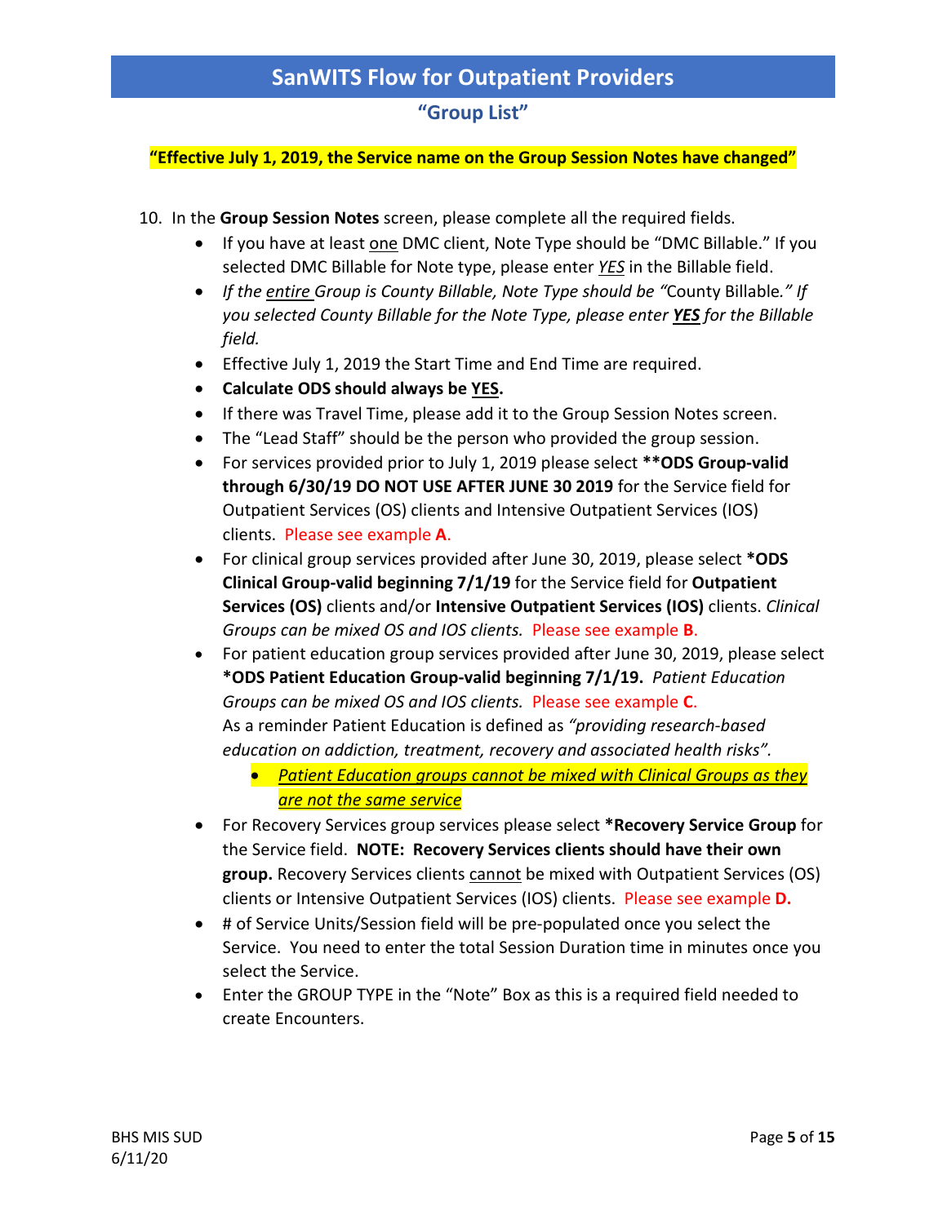#### **"Group List"**

#### **"Effective July 1, 2019, the Service name on the Group Session Notes have changed"**

- 10. In the **Group Session Notes** screen, please complete all the required fields.
	- If you have at least one DMC client, Note Type should be "DMC Billable." If you selected DMC Billable for Note type, please enter *YES* in the Billable field.
	- *If the entire Group is County Billable, Note Type should be "*County Billable*." If you selected County Billable for the Note Type, please enter YES for the Billable field.*
	- Effective July 1, 2019 the Start Time and End Time are required.
	- **Calculate ODS should always be YES.**
	- If there was Travel Time, please add it to the Group Session Notes screen.
	- The "Lead Staff" should be the person who provided the group session.
	- For services provided prior to July 1, 2019 please select **\*\*ODS Group-valid through 6/30/19 DO NOT USE AFTER JUNE 30 2019** for the Service field for Outpatient Services (OS) clients and Intensive Outpatient Services (IOS) clients. Please see example **A**.
	- For clinical group services provided after June 30, 2019, please select **\*ODS Clinical Group-valid beginning 7/1/19** for the Service field for **Outpatient Services (OS)** clients and/or **Intensive Outpatient Services (IOS)** clients. *Clinical Groups can be mixed OS and IOS clients.* Please see example **B**.
	- For patient education group services provided after June 30, 2019, please select **\*ODS Patient Education Group-valid beginning 7/1/19.** *Patient Education Groups can be mixed OS and IOS clients.* Please see example **C**. As a reminder Patient Education is defined as *"providing research-based education on addiction, treatment, recovery and associated health risks".*
		- *Patient Education groups cannot be mixed with Clinical Groups as they are not the same service*
	- For Recovery Services group services please select **\*Recovery Service Group** for the Service field. **NOTE: Recovery Services clients should have their own group.** Recovery Services clients cannot be mixed with Outpatient Services (OS) clients or Intensive Outpatient Services (IOS) clients. Please see example **D.**
	- # of Service Units/Session field will be pre-populated once you select the Service. You need to enter the total Session Duration time in minutes once you select the Service.
	- Enter the GROUP TYPE in the "Note" Box as this is a required field needed to create Encounters.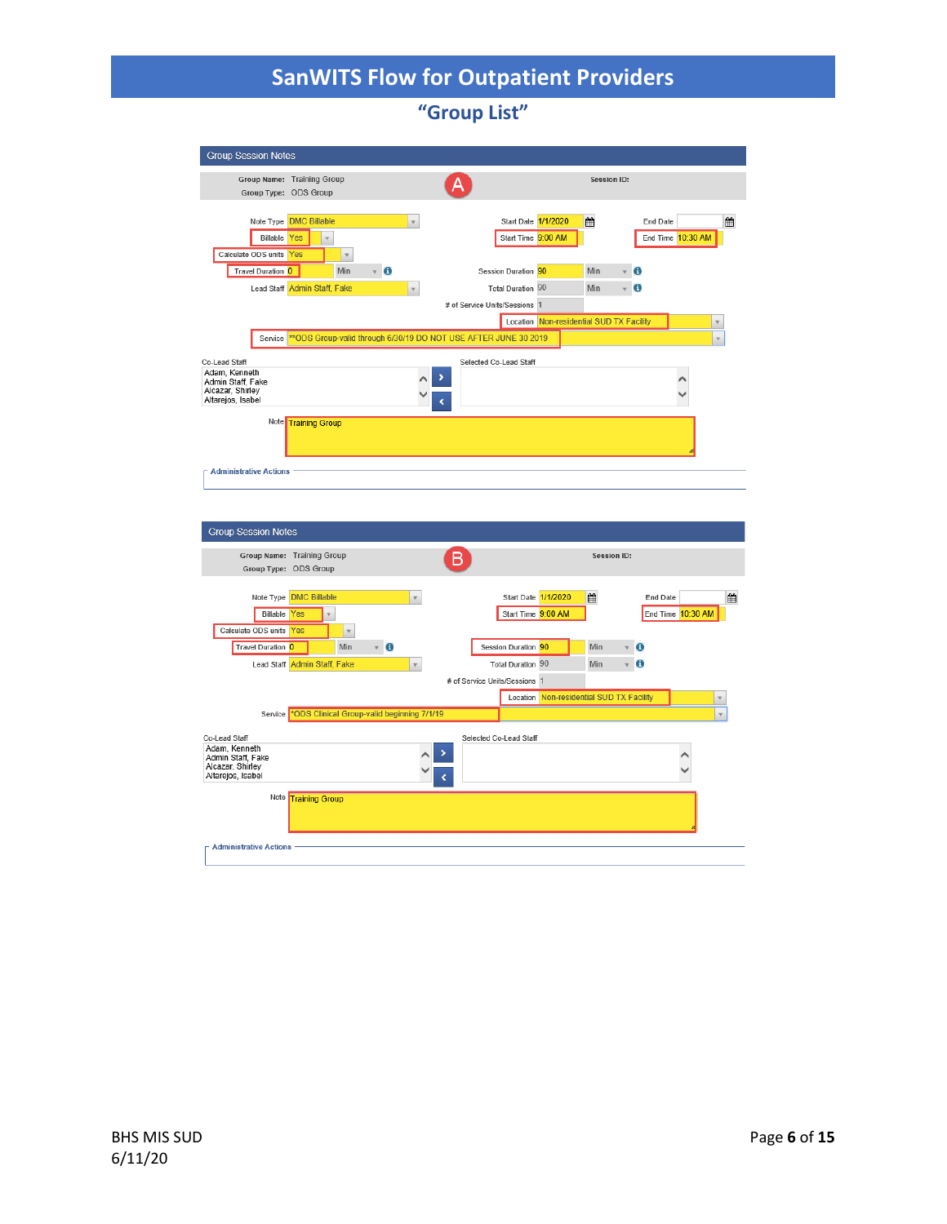**"Group List"**

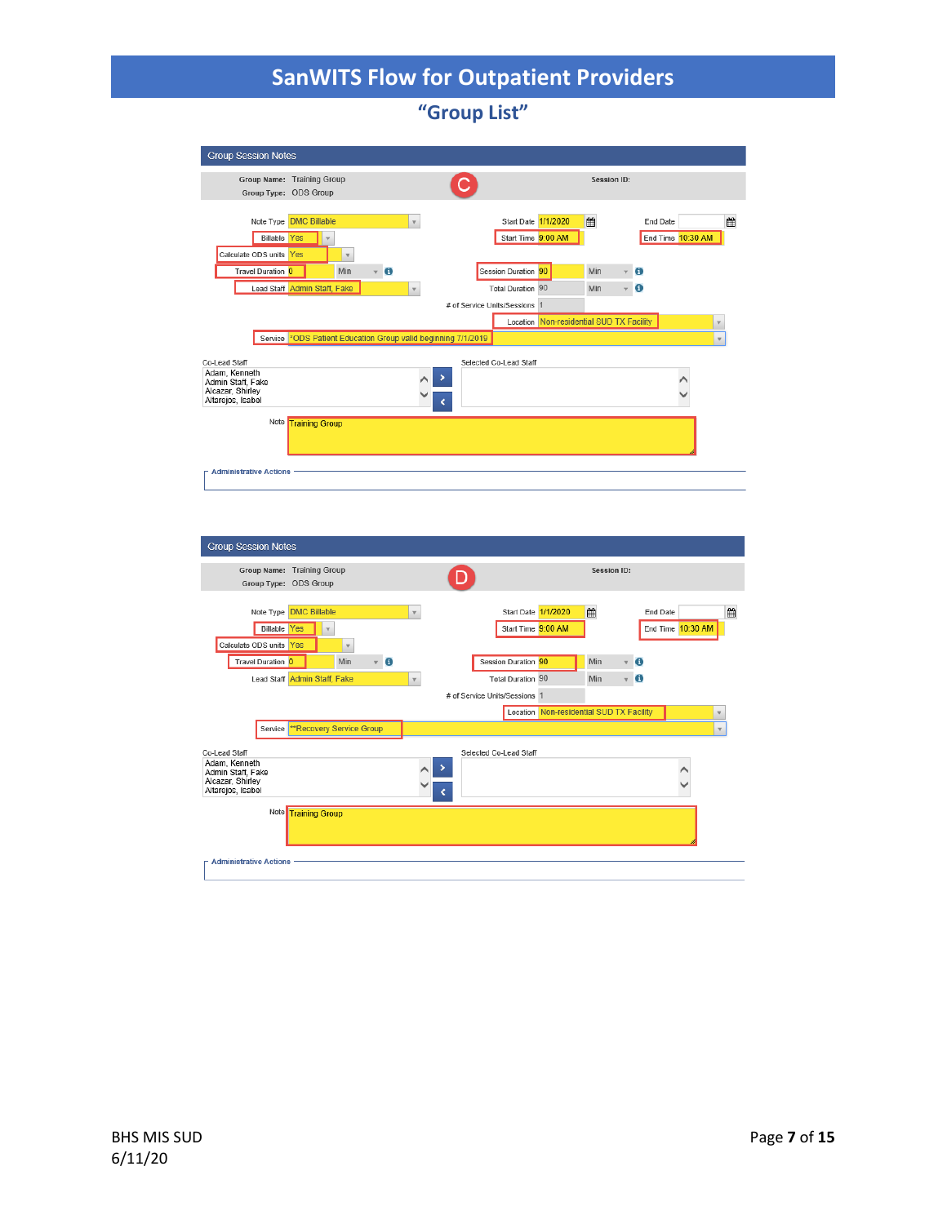**"Group List"**



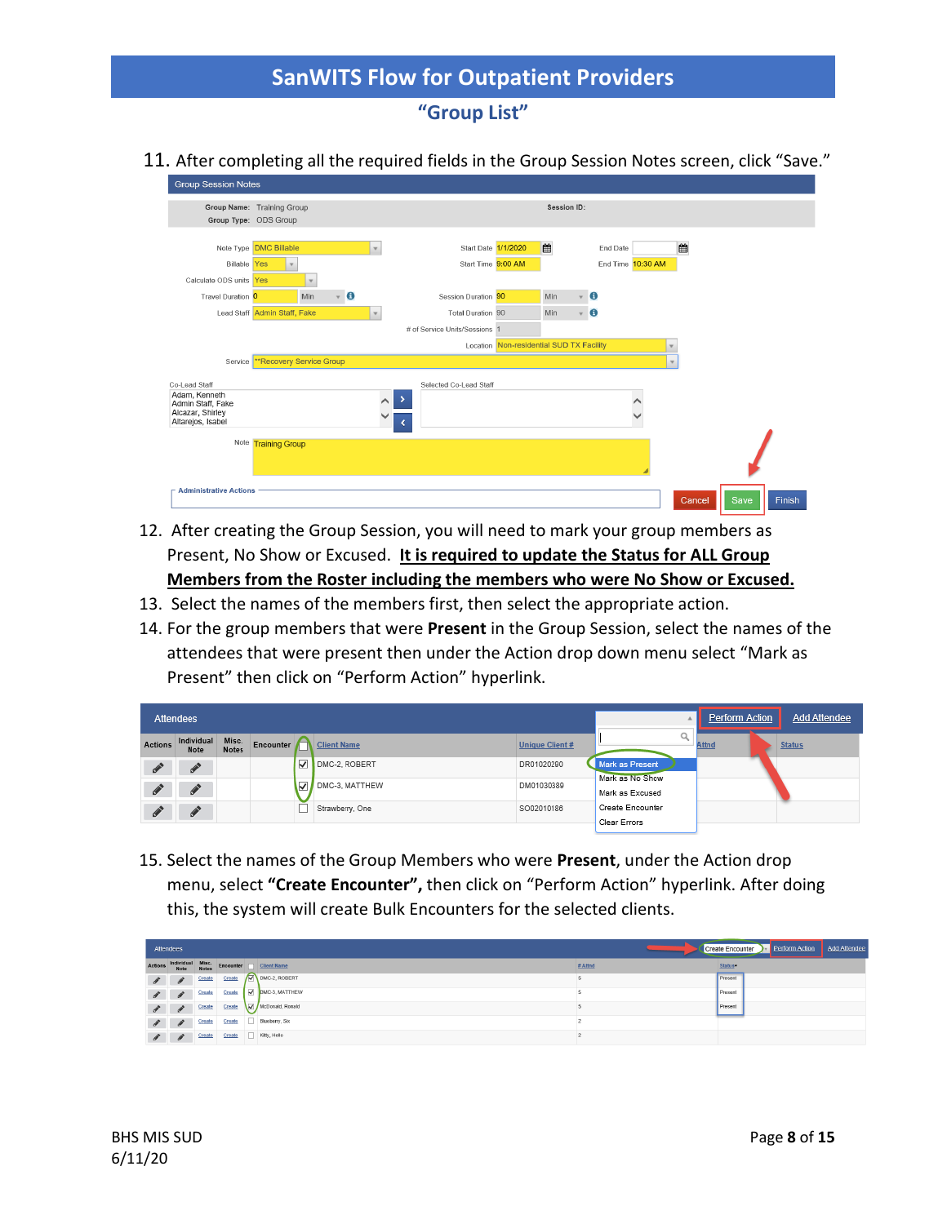### **"Group List"**

11. After completing all the required fields in the Group Session Notes screen, click "Save."

| <b>Group Session Notes</b>                                                                   |                                               |             |                         |           |              |                                           |                                          |             |                         |                               |  |             |      |        |
|----------------------------------------------------------------------------------------------|-----------------------------------------------|-------------|-------------------------|-----------|--------------|-------------------------------------------|------------------------------------------|-------------|-------------------------|-------------------------------|--|-------------|------|--------|
| Group Name: Training Group<br>Group Type: ODS Group                                          |                                               |             |                         |           |              |                                           |                                          | Session ID: |                         |                               |  |             |      |        |
| <b>Billable</b> Yes<br>Calculate ODS units Yes                                               | Note Type <b>DMC Billable</b><br>$\mathbf{v}$ | $\mathbf v$ |                         |           | $\mathbf v$  | Start Date 1/1/2020<br>Start Time 9:00 AM |                                          | 曲           |                         | End Date<br>End Time 10:30 AM |  | 雦           |      |        |
| Travel Duration 0                                                                            |                                               | Min         | $\overline{\mathbf{v}}$ | $\bullet$ |              | Session Duration 90                       |                                          | Min         | v                       | $\mathbf{G}$                  |  |             |      |        |
|                                                                                              | Lead Staff Admin Staff, Fake                  |             |                         |           | $\mathbf{v}$ | Total Duration 90                         |                                          | Min         | $\overline{\mathbf{v}}$ | $\mathbf{6}$                  |  |             |      |        |
|                                                                                              |                                               |             |                         |           |              | # of Service Units/Sessions 1             |                                          |             |                         |                               |  |             |      |        |
|                                                                                              |                                               |             |                         |           |              |                                           | Location Non-residential SUD TX Facility |             |                         |                               |  | $\mathbf v$ |      |        |
| Service                                                                                      | **Recovery Service Group                      |             |                         |           |              |                                           |                                          |             |                         |                               |  | $\mathbf v$ |      |        |
| Co-Lead Staff<br>Adam, Kenneth<br>Admin Staff, Fake<br>Alcazar, Shirley<br>Altarejos, Isabel |                                               |             |                         |           |              | Selected Co-Lead Staff<br>><br>∢          |                                          |             |                         |                               |  |             |      |        |
| <b>Administrative Actions</b>                                                                | Note Training Group                           |             |                         |           |              |                                           |                                          |             |                         |                               |  |             |      |        |
|                                                                                              |                                               |             |                         |           |              |                                           |                                          |             |                         |                               |  | Cancel      | Save | Finish |

- 12. After creating the Group Session, you will need to mark your group members as Present, No Show or Excused. **It is required to update the Status for ALL Group Members from the Roster including the members who were No Show or Excused.**
- 13. Select the names of the members first, then select the appropriate action.
- 14. For the group members that were **Present** in the Group Session, select the names of the attendees that were present then under the Action drop down menu select "Mark as Present" then click on "Perform Action" hyperlink.

|         | <b>Attendees</b>   |                       |                         |                         |                       |                                           | Perform Action | <b>Add Attendee</b> |
|---------|--------------------|-----------------------|-------------------------|-------------------------|-----------------------|-------------------------------------------|----------------|---------------------|
| Actions | Individual<br>Note | Misc.<br><b>Notes</b> |                         | Encounter   Client Name | <b>Unique Client#</b> |                                           | <b>Attnd</b>   | <b>Status</b>       |
| c       |                    |                       | $\overline{\mathbf{v}}$ | DMC-2, ROBERT           | DR01020290            | <b>Mark as Present</b><br>Mark as No Show |                |                     |
| c       |                    |                       | ⊽                       | DMC-3, MATTHEW          | DM01030389            | Mark as Excused                           |                |                     |
| c       |                    |                       |                         | Strawberry, One         | SO02010186            | Create Encounter<br>Clear Errors          |                |                     |

15. Select the names of the Group Members who were **Present**, under the Action drop menu, select **"Create Encounter",** then click on "Perform Action" hyperlink. After doing this, the system will create Bulk Encounters for the selected clients.

| Attendees      |                             |  |                                                              |         | Perform Action<br><b>Add Attendee</b><br><b>Create Encounter</b> |
|----------------|-----------------------------|--|--------------------------------------------------------------|---------|------------------------------------------------------------------|
| <b>Actions</b> |                             |  | Individual Misc.<br>Note Notes Encounter <u>Delicht Name</u> | # Attnd | Status-                                                          |
|                |                             |  | <b>Create</b> Create Create <b>D</b> DMC-2, ROBERT           |         | Present                                                          |
|                |                             |  | <b>A</b> Create Create $\boxed{\omega}$ DMC-3, MATTHEW       |         | Present                                                          |
|                | $\mathscr{I}$ $\mathscr{I}$ |  | Create Create McDonald, Ronald                               |         | Present                                                          |
|                | $\mathscr{I}$ $\mathscr{I}$ |  | Create Create Blueberry, Six                                 |         |                                                                  |
|                | $\mathscr{I}$ $\mathscr{I}$ |  | Create Create   Kitty, Hello                                 |         |                                                                  |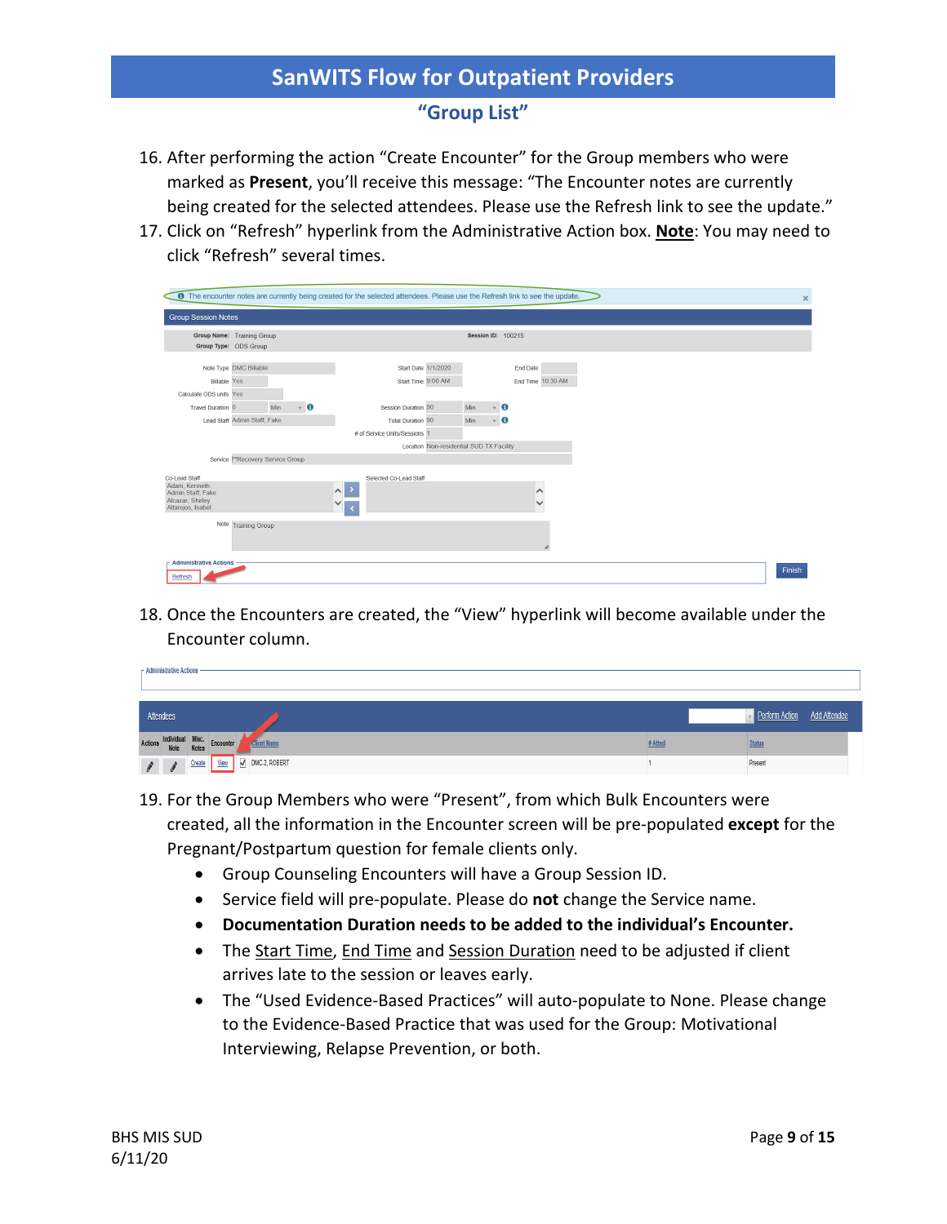### **"Group List"**

- 16. After performing the action "Create Encounter" for the Group members who were marked as **Present**, you'll receive this message: "The Encounter notes are currently being created for the selected attendees. Please use the Refresh link to see the update."
- 17. Click on "Refresh" hyperlink from the Administrative Action box. **Note**: You may need to click "Refresh" several times.

|                                                                                                                                      | <b>6</b> The encounter notes are currently being created for the selected attendees. Please use the Refresh link to see the update.                                                                            | $\mathbf{x}$ |
|--------------------------------------------------------------------------------------------------------------------------------------|----------------------------------------------------------------------------------------------------------------------------------------------------------------------------------------------------------------|--------------|
| <b>Group Session Notes</b>                                                                                                           |                                                                                                                                                                                                                |              |
| Group Name: Training Group<br>Group Type: ODS Group                                                                                  | Session ID: 100215                                                                                                                                                                                             |              |
| Note Type DMC Billable<br><b>Billable Yes</b><br>Calculate ODS units Yes<br>Min<br>Travel Duration 0<br>Lead Staff Admin Staff, Fake | Start Date 1/1/2020<br>End Date<br>Start Time 9:00 AM<br>End Time 10:30 AM<br>$\bf{G}$<br>Session Duration 90<br>Min<br>6<br>$\mathbf{v}$<br>6<br>Total Duration 90<br>Min<br>v<br># of Service Units/Sessions |              |
| Service ** Recovery Service Group<br>Co-Lead Staff                                                                                   | Location Non-residential SUD TX Facility<br>Selected Co-Lead Staff                                                                                                                                             |              |
| Adam, Kenneth<br>Admin Staff, Fake<br>Alcazar, Shirley<br>Altarejos, Isabel                                                          | $\sim$<br>∧                                                                                                                                                                                                    |              |
| Note Training Group                                                                                                                  |                                                                                                                                                                                                                |              |
| <b>Administrative Actions</b><br>Refresh                                                                                             |                                                                                                                                                                                                                | Finish       |

18. Once the Encounters are created, the "View" hyperlink will become available under the Encounter column.

|           | - Administrative Actions - |        |                                                  |                    |         |                                       |  |
|-----------|----------------------------|--------|--------------------------------------------------|--------------------|---------|---------------------------------------|--|
| Attendees |                            |        |                                                  |                    |         | <b>Add Attendee</b><br>Perform Action |  |
|           |                            |        | Actions Individual Misc.<br>Note Notes Encounter | <b>Client Name</b> | # Attnd | <b>Status</b>                         |  |
|           |                            | Create | View                                             | MC-2, ROBERT       |         | Present                               |  |

- 19. For the Group Members who were "Present", from which Bulk Encounters were created, all the information in the Encounter screen will be pre-populated **except** for the Pregnant/Postpartum question for female clients only.
	- Group Counseling Encounters will have a Group Session ID.
	- Service field will pre-populate. Please do **not** change the Service name.
	- **Documentation Duration needs to be added to the individual's Encounter.**
	- The Start Time, End Time and Session Duration need to be adjusted if client arrives late to the session or leaves early.
	- The "Used Evidence-Based Practices" will auto-populate to None. Please change to the Evidence-Based Practice that was used for the Group: Motivational Interviewing, Relapse Prevention, or both.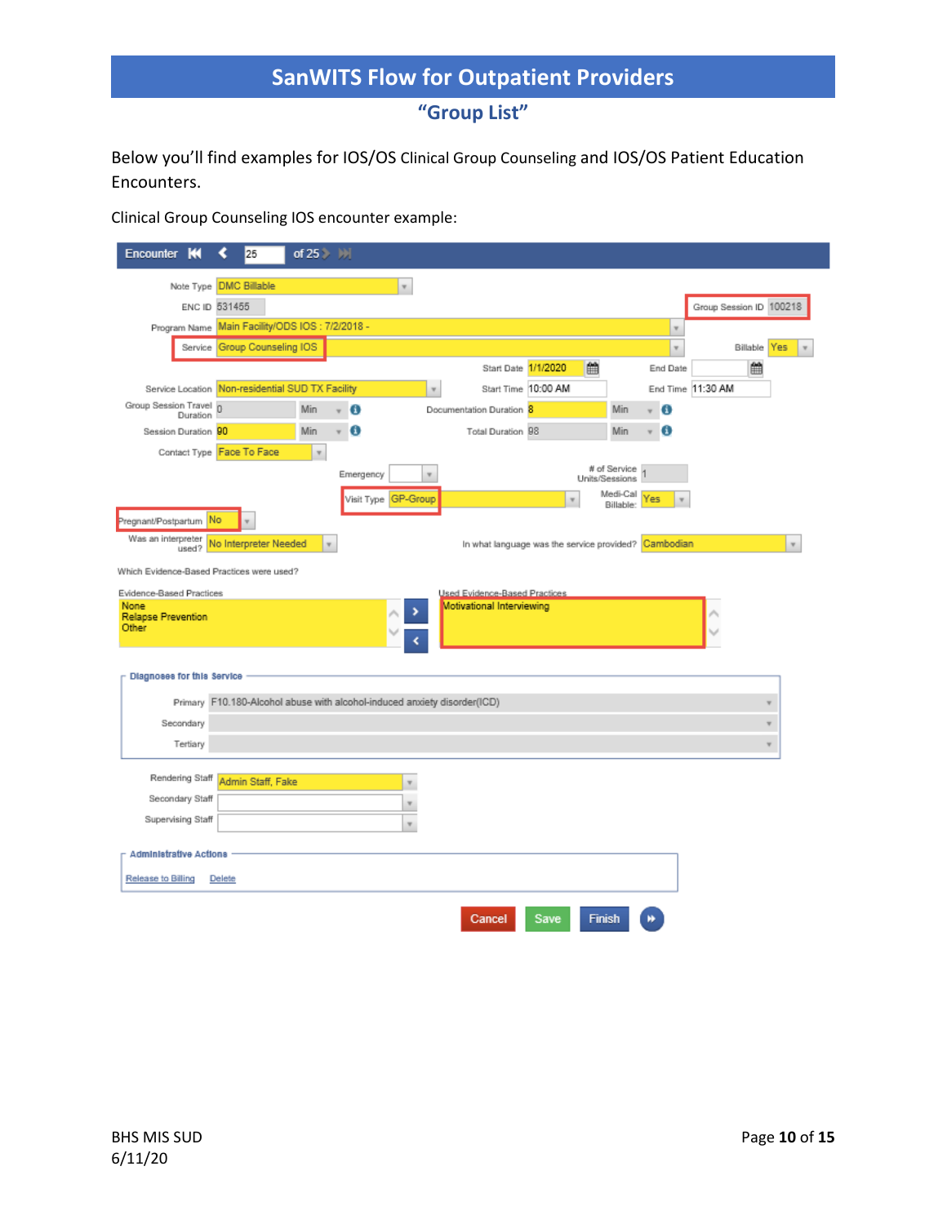**"Group List"**

Below you'll find examples for IOS/OS Clinical Group Counseling and IOS/OS Patient Education Encounters.

Clinical Group Counseling IOS encounter example:

| к<br>Encounter                            | 25                                                                       | of $25$ $\rightarrow$ $\rightarrow$ |           |                           |                                                      |                         |                                |           |                              |                         |     |
|-------------------------------------------|--------------------------------------------------------------------------|-------------------------------------|-----------|---------------------------|------------------------------------------------------|-------------------------|--------------------------------|-----------|------------------------------|-------------------------|-----|
|                                           | Note Type <b>DMC Billable</b>                                            |                                     |           | $\boldsymbol{\mathrm{v}}$ |                                                      |                         |                                |           |                              |                         |     |
|                                           | ENC ID 531455                                                            |                                     |           |                           |                                                      |                         |                                |           |                              | Group Session ID 100218 |     |
|                                           | Program Name Main Facility/ODS IOS: 7/2/2018 -                           |                                     |           |                           |                                                      |                         |                                |           | $\boldsymbol{\mathrm{v}}$    |                         |     |
|                                           | Service Group Counseling IOS                                             |                                     |           |                           |                                                      |                         |                                |           | v                            | Billable                | Yes |
|                                           |                                                                          |                                     |           |                           | Start Date 1/1/2020                                  |                         | 巤                              |           | End Date                     | 曲                       |     |
|                                           | Service Location Non-residential SUD TX Facility                         |                                     |           | $\boldsymbol{\mathrm{v}}$ | Start Time 10:00 AM                                  |                         |                                |           |                              | End Time 11:30 AM       |     |
| Group Session Travel 0<br>Duration        |                                                                          | Min                                 | * 0       |                           | Documentation Duration 8                             |                         |                                | Min       | Ð                            |                         |     |
| Session Duration 90                       |                                                                          | Min                                 | Ð<br>v    |                           | Total Duration 98                                    |                         | Min                            |           | o<br>$\overline{\mathbf{v}}$ |                         |     |
|                                           | Contact Type Face To Face                                                | $\boldsymbol{\mathrm{v}}$           |           |                           |                                                      |                         |                                |           |                              |                         |     |
|                                           |                                                                          |                                     | Emergency | $\overline{\mathbf{v}}$   |                                                      |                         | # of Service<br>Units/Sessions |           |                              |                         |     |
|                                           |                                                                          |                                     |           | Visit Type GP-Group       |                                                      | $\overline{\mathbf{v}}$ | Medi-Cal                       | Billable: | Yes<br>$\mathbf{w}$          |                         |     |
| Pregnant/Postpartum                       | No                                                                       |                                     |           |                           |                                                      |                         |                                |           |                              |                         |     |
| Was an interpreter<br>used?               | No Interpreter Needed                                                    | $\boldsymbol{\mathrm{v}}$           |           |                           | In what language was the service provided? Cambodian |                         |                                |           |                              |                         |     |
| Which Evidence-Based Practices were used? |                                                                          |                                     |           |                           |                                                      |                         |                                |           |                              |                         |     |
| Evidence-Based Practices                  |                                                                          |                                     |           |                           | Used Evidence-Based Practices                        |                         |                                |           |                              |                         |     |
| None<br><b>Relapse Prevention</b>         |                                                                          |                                     |           | ,                         | Motivational Interviewing                            |                         |                                |           |                              |                         |     |
| Other                                     |                                                                          |                                     |           |                           |                                                      |                         |                                |           |                              |                         |     |
|                                           |                                                                          |                                     |           |                           |                                                      |                         |                                |           |                              |                         |     |
| Diagnoses for this Service                |                                                                          |                                     |           |                           |                                                      |                         |                                |           |                              |                         |     |
|                                           | Primary F10.180-Alcohol abuse with alcohol-induced anxiety disorder(ICD) |                                     |           |                           |                                                      |                         |                                |           |                              |                         | ۷   |
| Secondary                                 |                                                                          |                                     |           |                           |                                                      |                         |                                |           |                              |                         |     |
| Tertiary                                  |                                                                          |                                     |           |                           |                                                      |                         |                                |           |                              |                         | ۳   |
|                                           |                                                                          |                                     |           |                           |                                                      |                         |                                |           |                              |                         |     |
| Rendering Staff                           | Admin Staff, Fake                                                        |                                     |           | v                         |                                                      |                         |                                |           |                              |                         |     |
| Secondary Staff                           |                                                                          |                                     |           | Y                         |                                                      |                         |                                |           |                              |                         |     |
| Supervising Staff                         |                                                                          |                                     |           | $\overline{\mathbf{v}}$   |                                                      |                         |                                |           |                              |                         |     |
|                                           |                                                                          |                                     |           |                           |                                                      |                         |                                |           |                              |                         |     |
| <b>Administrative Actions</b>             |                                                                          |                                     |           |                           |                                                      |                         |                                |           |                              |                         |     |
| Release to Billing                        | Delete                                                                   |                                     |           |                           |                                                      |                         |                                |           |                              |                         |     |
|                                           |                                                                          |                                     |           |                           |                                                      |                         |                                |           |                              |                         |     |
|                                           |                                                                          |                                     |           |                           | Cancel                                               | Save                    | Finish                         |           |                              |                         |     |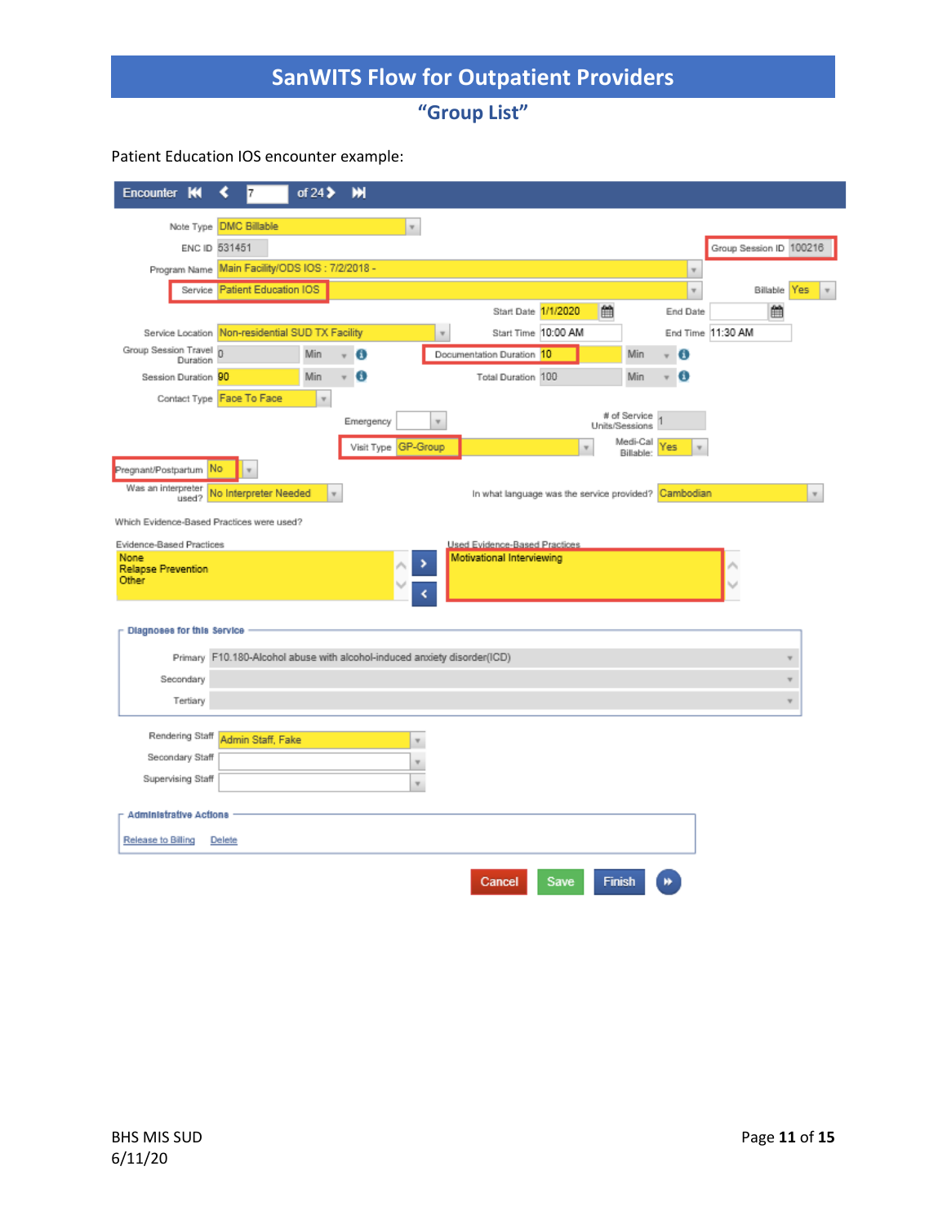**"Group List"**

### Patient Education IOS encounter example:

| Encounter<br>к                            | 7                                                                        | of 24 $\blacktriangleright$ | ж         |                           |                                                            |                                                      |                                |                           |                         |              |
|-------------------------------------------|--------------------------------------------------------------------------|-----------------------------|-----------|---------------------------|------------------------------------------------------------|------------------------------------------------------|--------------------------------|---------------------------|-------------------------|--------------|
|                                           | Note Type DMC Billable                                                   |                             |           | $\boldsymbol{\mathrm{v}}$ |                                                            |                                                      |                                |                           |                         |              |
|                                           | ENC ID 531451                                                            |                             |           |                           |                                                            |                                                      |                                |                           | Group Session ID 100216 |              |
|                                           | Program Name Main Facility/ODS IOS: 7/2/2018 -                           |                             |           |                           |                                                            |                                                      |                                | $\boldsymbol{\mathrm{v}}$ |                         |              |
|                                           | Service Patient Education IOS                                            |                             |           |                           |                                                            |                                                      |                                | $\mathbf{v}$              | <b>Billable</b> Yes     | v            |
|                                           |                                                                          |                             |           |                           | Start Date 1/1/2020                                        | 曲                                                    |                                | End Date                  | 兽                       |              |
|                                           | Service Location Non-residential SUD TX Facility                         |                             |           | $\overline{\mathbf{v}}$   | Start Time  10:00 AM                                       |                                                      |                                |                           | End Time 11:30 AM       |              |
| Group Session Travel 0<br>Duration        |                                                                          | Min                         | Ð         |                           | Documentation Duration 10                                  |                                                      | Min                            | Θ<br>÷                    |                         |              |
| Session Duration 90                       |                                                                          | Min                         | Ð<br>÷    |                           | Total Duration 100                                         |                                                      | Min                            | o<br>÷                    |                         |              |
|                                           | Contact Type Face To Face                                                | $\boldsymbol{\pi}$          |           |                           |                                                            |                                                      |                                |                           |                         |              |
|                                           |                                                                          |                             | Emergency | ۳                         |                                                            |                                                      | # of Service<br>Units/Sessions |                           |                         |              |
|                                           |                                                                          |                             |           | Visit Type GP-Group       |                                                            |                                                      | Medi-Cal<br>Billable:          | Yes<br>v                  |                         |              |
| Pregnant/Postpartum                       | No                                                                       |                             |           |                           |                                                            |                                                      |                                |                           |                         |              |
| Was an interpreter<br>used?               | No Interpreter Needed                                                    | $\overline{\mathbf{v}}$     |           |                           |                                                            | In what language was the service provided? Cambodian |                                |                           |                         | $\mathbf{v}$ |
|                                           |                                                                          |                             |           |                           |                                                            |                                                      |                                |                           |                         |              |
| Which Evidence-Based Practices were used? |                                                                          |                             |           |                           |                                                            |                                                      |                                |                           |                         |              |
| Evidence-Based Practices<br>None          |                                                                          |                             |           |                           | Used Evidence-Based Practices<br>Motivational Interviewing |                                                      |                                |                           |                         |              |
| <b>Relapse Prevention</b><br>Other        |                                                                          |                             |           |                           |                                                            |                                                      |                                |                           |                         |              |
|                                           |                                                                          |                             |           |                           |                                                            |                                                      |                                |                           |                         |              |
|                                           |                                                                          |                             |           |                           |                                                            |                                                      |                                |                           |                         |              |
| Diagnoses for this Service                |                                                                          |                             |           |                           |                                                            |                                                      |                                |                           |                         |              |
|                                           | Primary F10.180-Alcohol abuse with alcohol-induced anxiety disorder(ICD) |                             |           |                           |                                                            |                                                      |                                |                           |                         | v            |
| Secondary                                 |                                                                          |                             |           |                           |                                                            |                                                      |                                |                           |                         |              |
| Tertiary                                  |                                                                          |                             |           |                           |                                                            |                                                      |                                |                           |                         | v            |
| Rendering Staff                           |                                                                          |                             |           |                           |                                                            |                                                      |                                |                           |                         |              |
| Secondary Staff                           | Admin Staff, Fake                                                        |                             |           | $\overline{\mathbf{v}}$   |                                                            |                                                      |                                |                           |                         |              |
| Supervising Staff                         |                                                                          |                             |           | v                         |                                                            |                                                      |                                |                           |                         |              |
|                                           |                                                                          |                             |           | v                         |                                                            |                                                      |                                |                           |                         |              |
| <b>Administrative Actions</b>             |                                                                          |                             |           |                           |                                                            |                                                      |                                |                           |                         |              |
| Release to Billing                        | Delete                                                                   |                             |           |                           |                                                            |                                                      |                                |                           |                         |              |
|                                           |                                                                          |                             |           |                           |                                                            |                                                      |                                |                           |                         |              |
|                                           |                                                                          |                             |           |                           | Cancel                                                     | Save                                                 | Finish                         |                           |                         |              |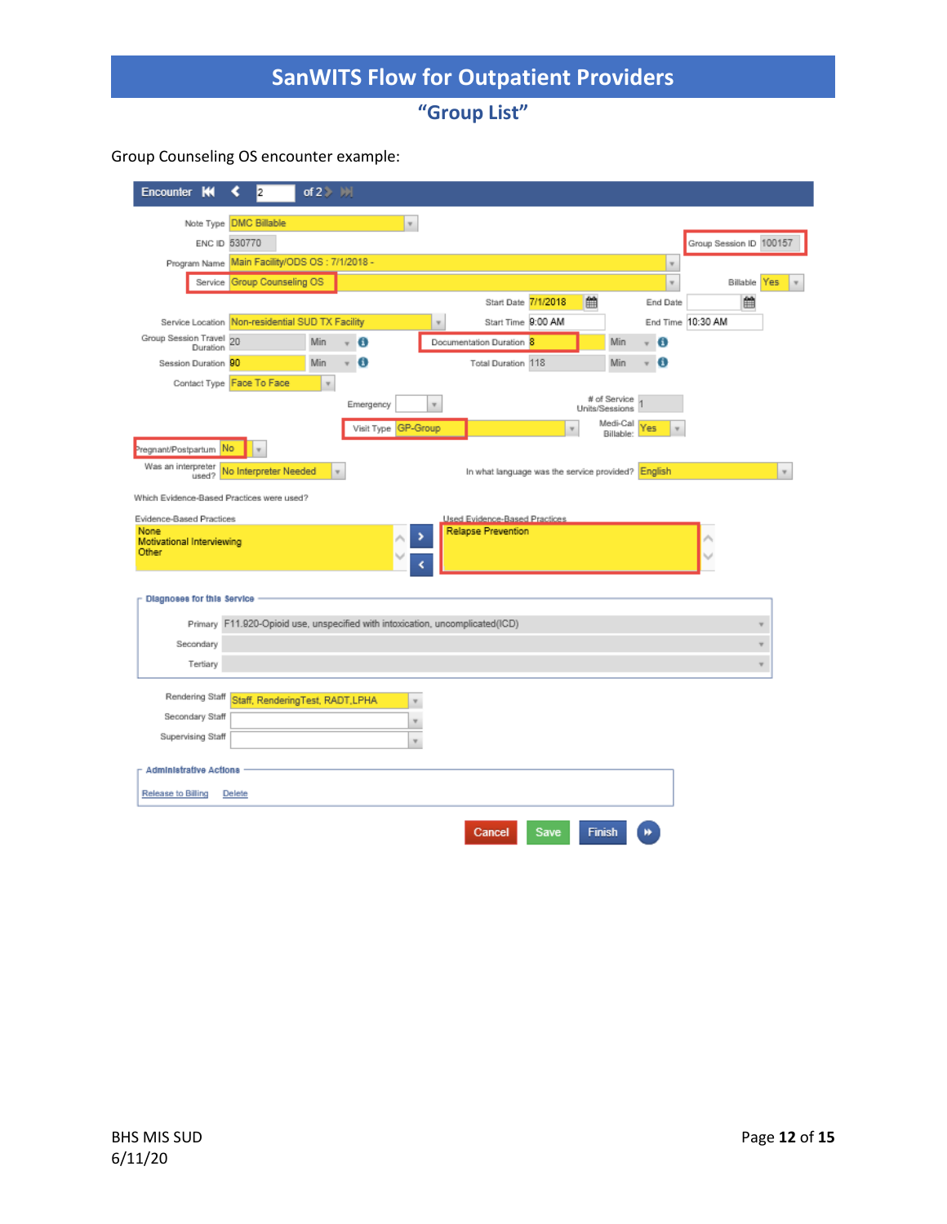**"Group List"**

#### Group Counseling OS encounter example:

| Encounter                          |          | I2                                                                            | of $2 \rightarrow \mathbb{N}$ |                           |                           |                         |                                                            |      |                                |                                |                         |                         |                           |
|------------------------------------|----------|-------------------------------------------------------------------------------|-------------------------------|---------------------------|---------------------------|-------------------------|------------------------------------------------------------|------|--------------------------------|--------------------------------|-------------------------|-------------------------|---------------------------|
|                                    |          | Note Type DMC Billable                                                        |                               |                           | $\boldsymbol{\mathrm{v}}$ |                         |                                                            |      |                                |                                |                         |                         |                           |
|                                    |          | ENC ID 530770                                                                 |                               |                           |                           |                         |                                                            |      |                                |                                | Group Session ID 100157 |                         |                           |
|                                    |          | Program Name Main Facility/ODS OS: 7/1/2018 -                                 |                               |                           |                           |                         |                                                            |      |                                | $\boldsymbol{\mathrm{v}}$      |                         |                         |                           |
|                                    |          | Service Group Counseling OS                                                   |                               |                           |                           |                         |                                                            |      |                                | $\boldsymbol{\mathrm{v}}$      | Billable                | Yes                     |                           |
|                                    |          |                                                                               |                               |                           |                           |                         | Start Date 7/1/2018                                        |      | 鱛                              | End Date                       | 酋                       |                         |                           |
|                                    |          | Service Location Non-residential SUD TX Facility                              |                               |                           |                           | $\overline{\mathbf{v}}$ | Start Time 9:00 AM                                         |      |                                |                                | End Time 10:30 AM       |                         |                           |
| Group Session Travel 20            | Duration |                                                                               | Min.                          |                           | Ð                         |                         | Documentation Duration 8                                   |      | Min                            | O                              |                         |                         |                           |
| Session Duration 90                |          |                                                                               | Min                           |                           | Θ                         |                         | Total Duration 118                                         |      | Min                            | Θ<br>$\overline{\mathbf{v}}$   |                         |                         |                           |
|                                    |          | Contact Type Face To Face                                                     | $\boldsymbol{\mathrm{v}}$     |                           |                           |                         |                                                            |      |                                |                                |                         |                         |                           |
|                                    |          |                                                                               |                               |                           | Emergency                 | $\mathbf{v}$            |                                                            |      | # of Service<br>Units/Sessions |                                |                         |                         |                           |
|                                    |          |                                                                               |                               |                           | Visit Type GP-Group       |                         |                                                            | v    | Medi-Cal<br>Billable:          | Yes<br>$\overline{\mathbf{v}}$ |                         |                         |                           |
| Pregnant/Postpartum                | No       |                                                                               |                               |                           |                           |                         |                                                            |      |                                |                                |                         |                         |                           |
| Was an interpreter                 | used?    | No Interpreter Needed                                                         |                               | $\boldsymbol{\mathrm{v}}$ |                           |                         | In what language was the service provided? English         |      |                                |                                |                         |                         | $\boldsymbol{\mathrm{v}}$ |
|                                    |          | Which Evidence-Based Practices were used?                                     |                               |                           |                           |                         |                                                            |      |                                |                                |                         |                         |                           |
|                                    |          |                                                                               |                               |                           |                           |                         |                                                            |      |                                |                                |                         |                         |                           |
| Evidence-Based Practices<br>None   |          |                                                                               |                               |                           | ,                         |                         | Used Evidence-Based Practices<br><b>Relapse Prevention</b> |      |                                |                                |                         |                         |                           |
| Motivational Interviewing<br>Other |          |                                                                               |                               |                           |                           |                         |                                                            |      |                                |                                |                         |                         |                           |
|                                    |          |                                                                               |                               |                           |                           |                         |                                                            |      |                                |                                |                         |                         |                           |
| Diagnoses for this Service         |          |                                                                               |                               |                           |                           |                         |                                                            |      |                                |                                |                         |                         |                           |
|                                    |          |                                                                               |                               |                           |                           |                         |                                                            |      |                                |                                |                         |                         |                           |
|                                    |          | Primary F11.920-Opioid use, unspecified with intoxication, uncomplicated(ICD) |                               |                           |                           |                         |                                                            |      |                                |                                |                         | v                       |                           |
| Secondary                          |          |                                                                               |                               |                           |                           |                         |                                                            |      |                                |                                |                         | v                       |                           |
| Tertiary                           |          |                                                                               |                               |                           |                           |                         |                                                            |      |                                |                                |                         | $\overline{\mathbf{v}}$ |                           |
| Rendering Staff                    |          | Staff, RenderingTest, RADT, LPHA                                              |                               |                           |                           |                         |                                                            |      |                                |                                |                         |                         |                           |
| Secondary Staff                    |          |                                                                               |                               |                           | v<br>v                    |                         |                                                            |      |                                |                                |                         |                         |                           |
| Supervising Staff                  |          |                                                                               |                               |                           | $\tau$                    |                         |                                                            |      |                                |                                |                         |                         |                           |
|                                    |          |                                                                               |                               |                           |                           |                         |                                                            |      |                                |                                |                         |                         |                           |
| <b>Administrative Actions</b>      |          |                                                                               |                               |                           |                           |                         |                                                            |      |                                |                                |                         |                         |                           |
| Release to Billing                 |          | Delete                                                                        |                               |                           |                           |                         |                                                            |      |                                |                                |                         |                         |                           |
|                                    |          |                                                                               |                               |                           |                           |                         |                                                            |      |                                |                                |                         |                         |                           |
|                                    |          |                                                                               |                               |                           |                           |                         | Cancel                                                     | Save | <b>Finish</b>                  |                                |                         |                         |                           |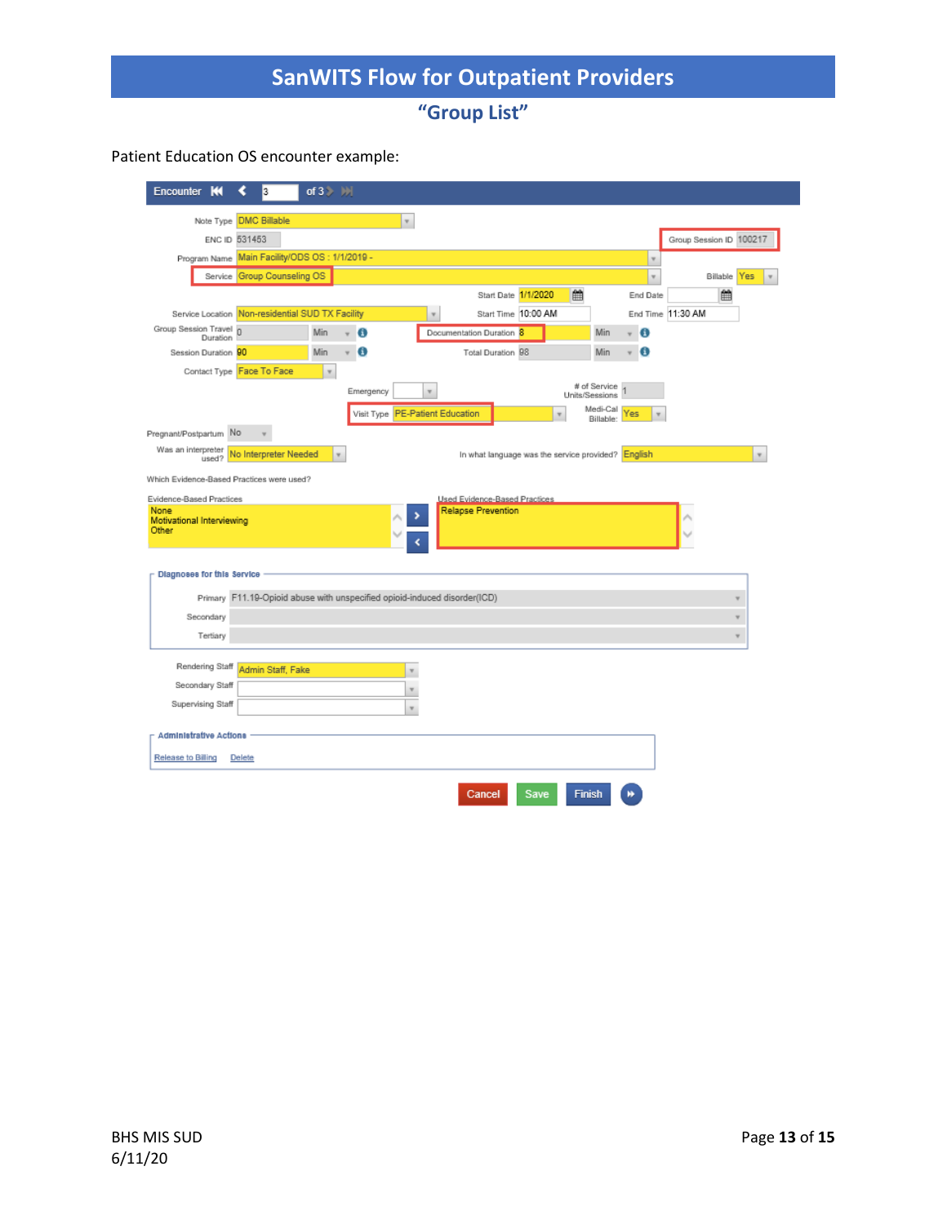**"Group List"**

#### Patient Education OS encounter example:

| Encounter                                 | 3                                                                         | of $3$ $\rightarrow$ $\rightarrow$ |                                 |                         |                                                    |                     |                                |                           |                         |                                  |
|-------------------------------------------|---------------------------------------------------------------------------|------------------------------------|---------------------------------|-------------------------|----------------------------------------------------|---------------------|--------------------------------|---------------------------|-------------------------|----------------------------------|
|                                           | Note Type DMC Billable                                                    |                                    | $\overline{\mathbf{v}}$         |                         |                                                    |                     |                                |                           |                         |                                  |
|                                           | ENC ID 531453                                                             |                                    |                                 |                         |                                                    |                     |                                |                           | Group Session ID 100217 |                                  |
|                                           | Program Name Main Facility/ODS OS: 1/1/2019 -                             |                                    |                                 |                         |                                                    |                     |                                | $\overline{\mathbf{v}}$   |                         |                                  |
|                                           | Service Group Counseling OS                                               |                                    |                                 |                         |                                                    |                     |                                | $\boldsymbol{\mathrm{v}}$ | Billable                | Yes<br>$\boldsymbol{\mathrm{v}}$ |
|                                           |                                                                           |                                    |                                 |                         | Start Date 1/1/2020                                |                     | 鱛                              | End Date                  | 鱛                       |                                  |
|                                           | Service Location Non-residential SUD TX Facility                          |                                    |                                 | $\overline{\mathbf{v}}$ |                                                    | Start Time 10:00 AM |                                |                           | End Time 11:30 AM       |                                  |
| Group Session Travel 0<br>Duration        |                                                                           | Min                                | O                               |                         | Documentation Duration 8                           |                     | Min                            | Ð                         |                         |                                  |
| Session Duration 90                       |                                                                           | Min                                | Œ                               |                         | Total Duration 98                                  |                     | Min                            | Θ                         |                         |                                  |
|                                           | Contact Type Face To Face                                                 | $\overline{\mathbf{v}}$            |                                 |                         |                                                    |                     |                                |                           |                         |                                  |
|                                           |                                                                           |                                    | Emergency                       | $\overline{\mathbf{v}}$ |                                                    |                     | # of Service<br>Units/Sessions |                           |                         |                                  |
|                                           |                                                                           |                                    | Visit Type PE-Patient Education |                         |                                                    |                     | Medi-Cal<br>Billable:          | Yes                       |                         |                                  |
| Pregnant/Postpartum No                    |                                                                           |                                    |                                 |                         |                                                    |                     |                                |                           |                         |                                  |
| Was an interpreter<br>used?               | No Interpreter Needed                                                     | $\tau$                             |                                 |                         | In what language was the service provided? English |                     |                                |                           |                         | $\boldsymbol{\mathrm{v}}$        |
| Which Evidence-Based Practices were used? |                                                                           |                                    |                                 |                         |                                                    |                     |                                |                           |                         |                                  |
| Evidence-Based Practices                  |                                                                           |                                    |                                 |                         | Used Evidence-Based Practices                      |                     |                                |                           |                         |                                  |
| None<br>Motivational Interviewing         |                                                                           |                                    |                                 |                         | <b>Relapse Prevention</b>                          |                     |                                |                           |                         |                                  |
| Other                                     |                                                                           |                                    |                                 |                         |                                                    |                     |                                |                           |                         |                                  |
|                                           |                                                                           |                                    |                                 |                         |                                                    |                     |                                |                           |                         |                                  |
| Diagnoses for this Service                |                                                                           |                                    |                                 |                         |                                                    |                     |                                |                           |                         |                                  |
|                                           | Primary F11.19-Opioid abuse with unspecified opioid-induced disorder(ICD) |                                    |                                 |                         |                                                    |                     |                                |                           |                         | ۷                                |
| Secondary                                 |                                                                           |                                    |                                 |                         |                                                    |                     |                                |                           |                         | ۷                                |
| Tertiary                                  |                                                                           |                                    |                                 |                         |                                                    |                     |                                |                           |                         | v                                |
|                                           |                                                                           |                                    |                                 |                         |                                                    |                     |                                |                           |                         |                                  |
| Rendering Staff                           | Admin Staff, Fake                                                         |                                    | $\overline{\mathbf{v}}$         |                         |                                                    |                     |                                |                           |                         |                                  |
| Secondary Staff                           |                                                                           |                                    | $\boldsymbol{\mathrm{v}}$       |                         |                                                    |                     |                                |                           |                         |                                  |
| Supervising Staff                         |                                                                           |                                    | v                               |                         |                                                    |                     |                                |                           |                         |                                  |
|                                           |                                                                           |                                    |                                 |                         |                                                    |                     |                                |                           |                         |                                  |
| <b>Administrative Actions</b>             |                                                                           |                                    |                                 |                         |                                                    |                     |                                |                           |                         |                                  |
| Release to Billing                        | Delete                                                                    |                                    |                                 |                         |                                                    |                     |                                |                           |                         |                                  |
|                                           |                                                                           |                                    |                                 |                         |                                                    |                     |                                |                           |                         |                                  |
|                                           |                                                                           |                                    |                                 |                         | Cancel                                             | Save                | <b>Finish</b>                  |                           |                         |                                  |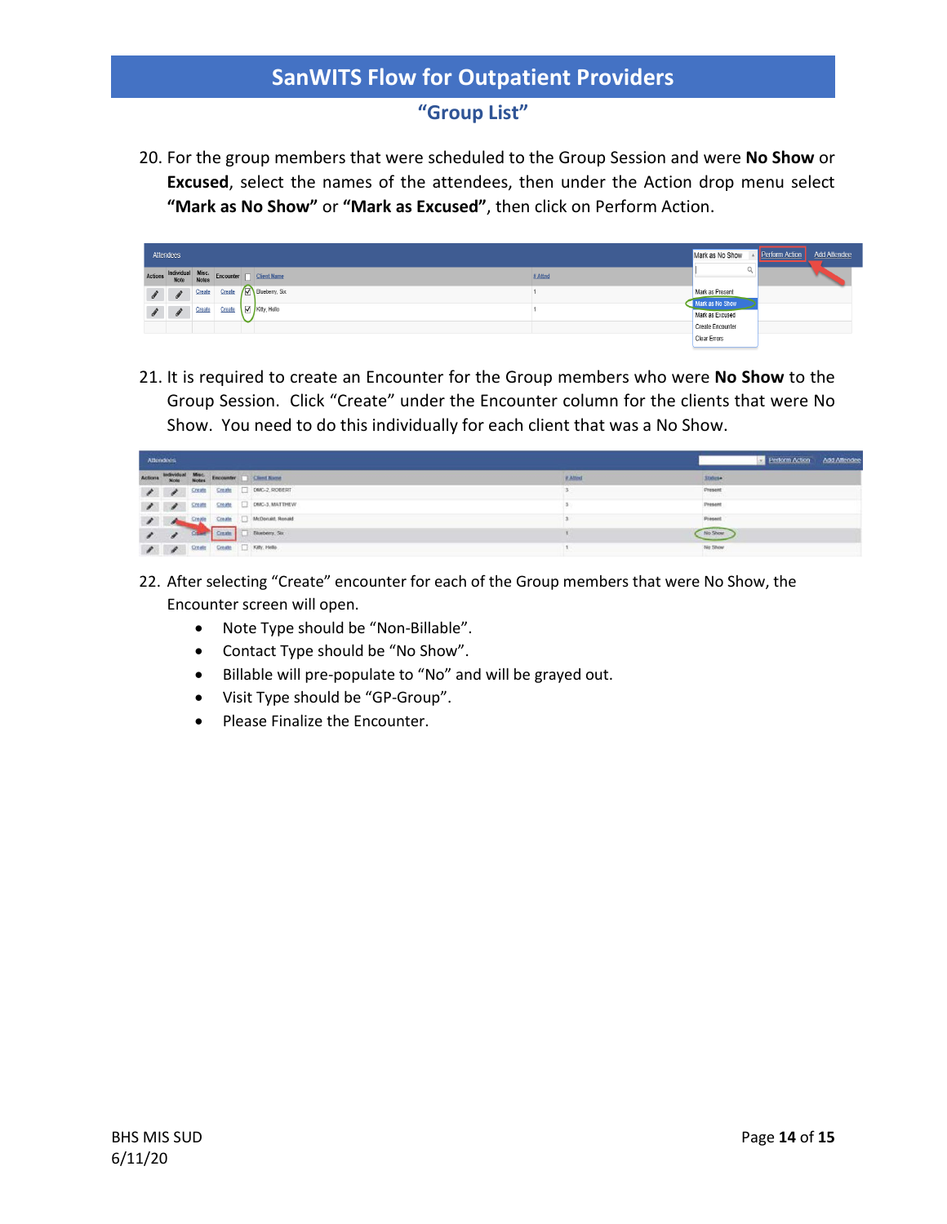### **"Group List"**

20. For the group members that were scheduled to the Group Session and were **No Show** or **Excused**, select the names of the attendees, then under the Action drop menu select **"Mark as No Show"** or **"Mark as Excused"**, then click on Perform Action.

|         | Attendees     |        |        |                                                        |         | Mark as No Show                    | <b>Perform Action</b> | <b>Add Attendee</b> |
|---------|---------------|--------|--------|--------------------------------------------------------|---------|------------------------------------|-----------------------|---------------------|
| Actions |               |        |        | Individual Misc.<br>Note Notes Encounter   Client Name | # Attnd |                                    |                       |                     |
|         | $\mathscr{L}$ | Create | Create | Blueberry, Six                                         |         | Mark as Present<br>Mark as No Show |                       |                     |
|         | $\theta$      | Create | Create | Kitty, Hello                                           |         | Mark as Excused                    |                       |                     |
|         |               |        |        |                                                        |         | Create Encounter                   |                       |                     |
|         |               |        |        |                                                        |         | <b>Clear Errors</b>                |                       |                     |

21. It is required to create an Encounter for the Group members who were **No Show** to the Group Session. Click "Create" under the Encounter column for the clients that were No Show. You need to do this individually for each client that was a No Show.

| Attendees |  |  |                                                                              |               | Perform Action Add Attendee |
|-----------|--|--|------------------------------------------------------------------------------|---------------|-----------------------------|
|           |  |  | Actions Individual Misc. Encounter Client Name                               | <b>RAILLE</b> | Status-                     |
|           |  |  | <b>A A</b> State State D DWC-2, ROBERT                                       |               | Present<br>restaura         |
|           |  |  | <b>2</b> Create Create D DMC-3, MATTHEW                                      |               | Present                     |
|           |  |  | Crayle Crazle Undonat Ronald                                                 |               | Present                     |
|           |  |  | Charles Capita   Diveberry, Six                                              |               | No Show                     |
|           |  |  | $\blacktriangleright$ $\blacktriangleright$ Scott Create $\Box$ Kelly, reeds |               | No Show                     |

- 22. After selecting "Create" encounter for each of the Group members that were No Show, the Encounter screen will open.
	- Note Type should be "Non-Billable".
	- Contact Type should be "No Show".
	- Billable will pre-populate to "No" and will be grayed out.
	- Visit Type should be "GP-Group".
	- Please Finalize the Encounter.